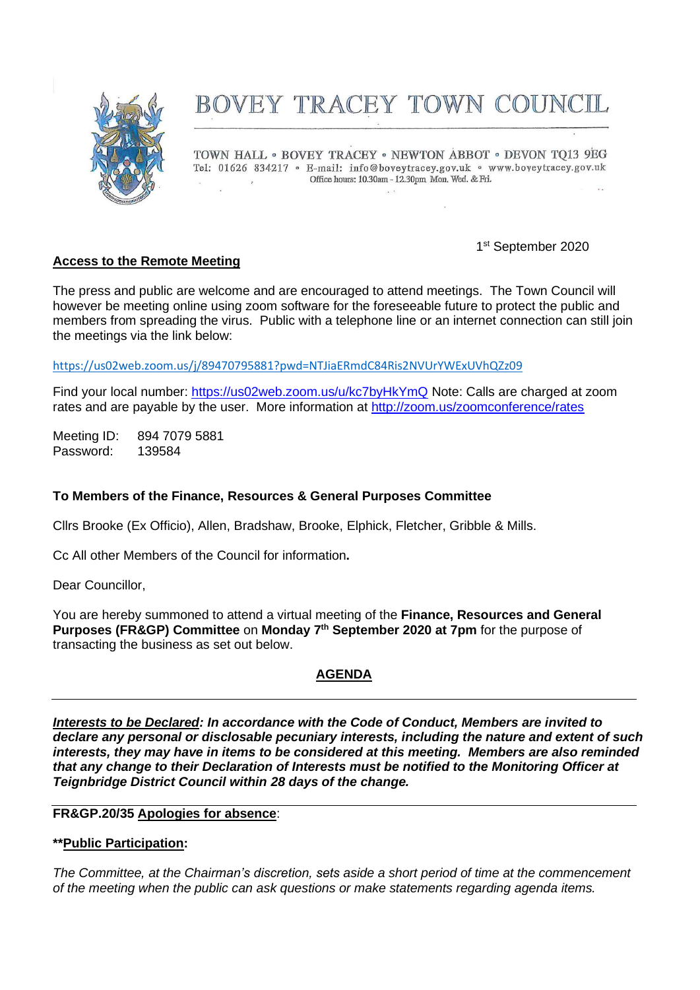

# BOVEY TRACEY TOWN COUNCIL

TOWN HALL . BOVEY TRACEY . NEWTON ABBOT . DEVON TO13 9EG Tel: 01626 834217 · E-mail: info@boveytracey.gov.uk · www.boveytracey.gov.uk Office hours: 10.30am - 12.30pm Mon, Wed. & Fri.

## 1st September 2020

## **Access to the Remote Meeting**

The press and public are welcome and are encouraged to attend meetings. The Town Council will however be meeting online using zoom software for the foreseeable future to protect the public and members from spreading the virus. Public with a telephone line or an internet connection can still join the meetings via the link below:

<https://us02web.zoom.us/j/89470795881?pwd=NTJiaERmdC84Ris2NVUrYWExUVhQZz09>

Find your local number:<https://us02web.zoom.us/u/kc7byHkYmQ> Note: Calls are charged at zoom rates and are payable by the user. More information at<http://zoom.us/zoomconference/rates>

Meeting ID: 894 7079 5881 Password: 139584

## **To Members of the Finance, Resources & General Purposes Committee**

Cllrs Brooke (Ex Officio), Allen, Bradshaw, Brooke, Elphick, Fletcher, Gribble & Mills.

Cc All other Members of the Council for information**.**

Dear Councillor,

You are hereby summoned to attend a virtual meeting of the **Finance, Resources and General Purposes (FR&GP) Committee** on **Monday 7 th September 2020 at 7pm** for the purpose of transacting the business as set out below.

## **AGENDA**

*Interests to be Declared: In accordance with the Code of Conduct, Members are invited to declare any personal or disclosable pecuniary interests, including the nature and extent of such interests, they may have in items to be considered at this meeting. Members are also reminded that any change to their Declaration of Interests must be notified to the Monitoring Officer at Teignbridge District Council within 28 days of the change.*

#### **FR&GP.20/35 Apologies for absence**:

## **\*\*Public Participation:**

*The Committee, at the Chairman's discretion, sets aside a short period of time at the commencement of the meeting when the public can ask questions or make statements regarding agenda items.*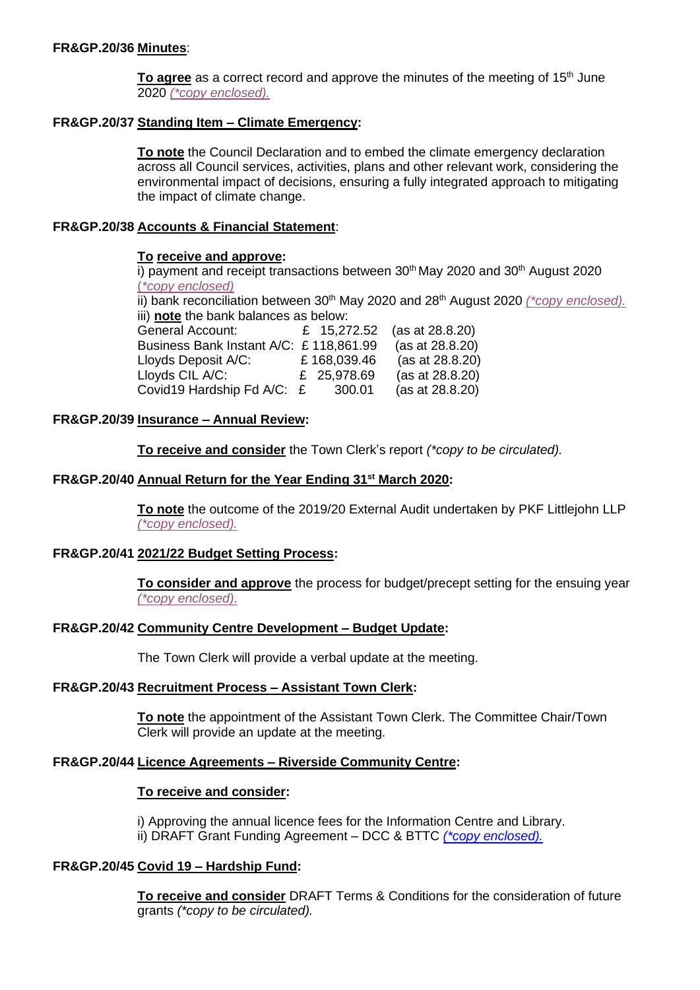**To agree** as a correct record and approve the minutes of the meeting of 15<sup>th</sup> June 2020 *[\(\\*copy enclosed\).](https://www.dropbox.com/s/txhbgwj3k49flog/07.09.20%20-%20Mins%20FR%26GP%20Comm%20mtg%2015.6.20.doc?dl=0)*

#### **FR&GP.20/37 Standing Item – Climate Emergency:**

**To note** the Council Declaration and to embed the climate emergency declaration across all Council services, activities, plans and other relevant work, considering the environmental impact of decisions, ensuring a fully integrated approach to mitigating the impact of climate change.

#### **FR&GP.20/38 Accounts & Financial Statement**:

#### **To receive and approve:**

 $\overline{1}$ ) payment and receipt transactions between 30<sup>th</sup> May 2020 and 30<sup>th</sup> August 2020 (*[\\*copy enclosed\)](https://www.dropbox.com/s/r06ld0ai6o2w80m/07.09.20%20-%20Payments%20%26%20Receipts%2030.05.2%20-%2030.08.20.pdf?dl=0)* ii) bank reconciliation between 30<sup>th</sup> May 2020 and 28<sup>th</sup> August 2020 (*\*copy enclosed*). iii) **note** the bank balances as below: General Account: £ 15,272.52 (as at 28.8.20) Business Bank Instant A/C: £ 118,861.99 (as at 28.8.20) Lloyds Deposit A/C: £ 168,039.46 (as at 28.8.20) Lloyds CIL A/C: £ 25,978.69 (as at 28.8.20) Covid19 Hardship Fd A/C: £ 300.01 (as at 28.8.20)

## **FR&GP.20/39 Insurance – Annual Review:**

**To receive and consider** the Town Clerk's report *(\*copy to be circulated).*

#### **FR&GP.20/40 Annual Return for the Year Ending 31st March 2020:**

**To note** the outcome of the 2019/20 External Audit undertaken by PKF Littlejohn LLP *[\(\\*copy enclosed\).](https://www.dropbox.com/s/w23arewj2ww9sxs/07.09.20%20-%20Exeternal%20Audit%20Report.pdf?dl=0)*

## **FR&GP.20/41 2021/22 Budget Setting Process:**

**To consider and approve** the process for budget/precept setting for the ensuing year *[\(\\*copy enclosed\)](https://www.dropbox.com/s/ywaa7kbkzrt83wo/07.09.20%20-%20Setting%20the%20Precept%20Process.docx?dl=0)*.

#### **FR&GP.20/42 Community Centre Development – Budget Update:**

The Town Clerk will provide a verbal update at the meeting.

## **FR&GP.20/43 Recruitment Process – Assistant Town Clerk:**

**To note** the appointment of the Assistant Town Clerk. The Committee Chair/Town Clerk will provide an update at the meeting.

## **FR&GP.20/44 Licence Agreements – Riverside Community Centre:**

#### **To receive and consider:**

i) Approving the annual licence fees for the Information Centre and Library. ii) DRAFT Grant Funding Agreement – DCC & BTTC *[\(\\*copy enclosed\).](https://www.dropbox.com/s/0e9cio4xsueqw1x/07.09.20%20Funding%20Agreement%20-%20DCC%20to%20BTTC%20%28BT%20Community%20Building%29%2001.09.20.docx?dl=0)*

## **FR&GP.20/45 Covid 19 – Hardship Fund:**

**To receive and consider** DRAFT Terms & Conditions for the consideration of future grants *(\*copy to be circulated).*